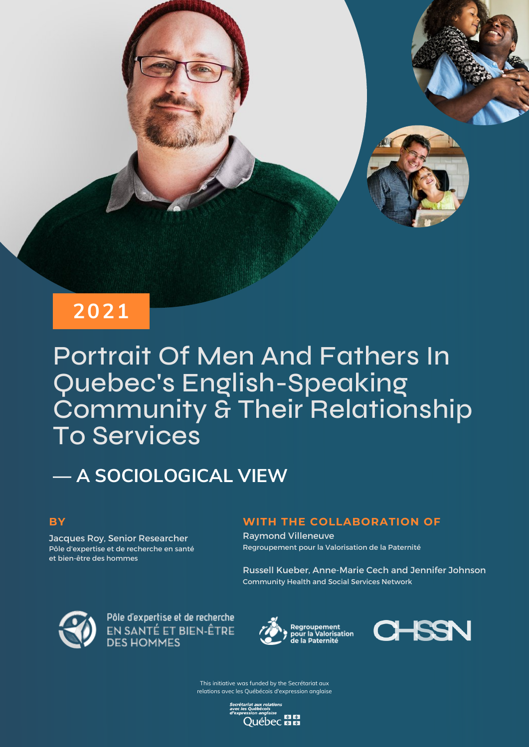## **2021**

# Portrait Of Men And Fathers In Quebec's English-Speaking Community & Their Relationship To Services

## **— A SOCIOLOGICAL VIEW**

## **BY**

Jacques Roy, Senior Researcher Pôle d'expertise et de recherche en santé et bien-être des hommes

## **WITH THE COLLABORATION OF**

Raymond Villeneuve Regroupement pour la Valorisation de la Paternité

Russell Kueber, Anne-Marie Cech and Jennifer Johnson Community Health and Social Services Network



Pôle d'expertise et de recherche EN SANTÉ ET BIEN-ÊTRE **DES HOMMES** 





This initiative was funded by the Secrétariat aux relations avec les Québécois d'expression anglaise

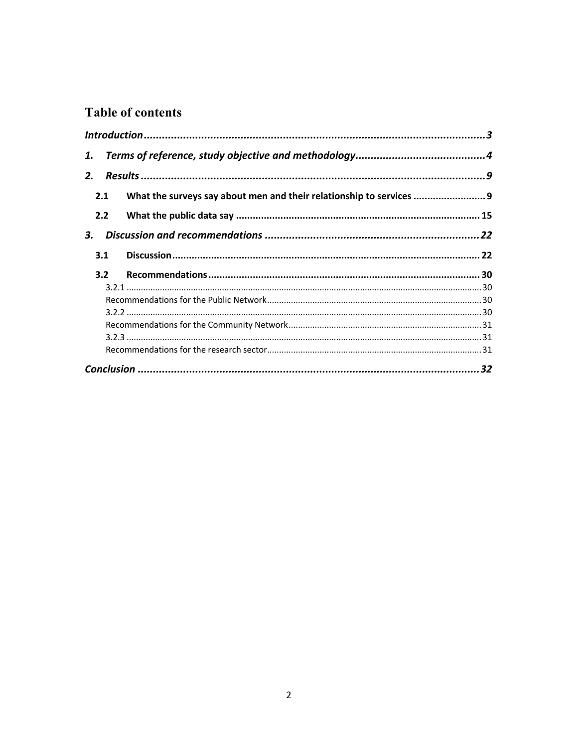## **Table of contents**

| 1.  |                                                                      |  |
|-----|----------------------------------------------------------------------|--|
|     |                                                                      |  |
| 2.1 | What the surveys say about men and their relationship to services  9 |  |
| 2.2 |                                                                      |  |
| 3.  |                                                                      |  |
| 3.1 |                                                                      |  |
| 3.2 |                                                                      |  |
|     |                                                                      |  |
|     |                                                                      |  |
|     |                                                                      |  |
|     |                                                                      |  |
|     |                                                                      |  |
|     |                                                                      |  |
|     |                                                                      |  |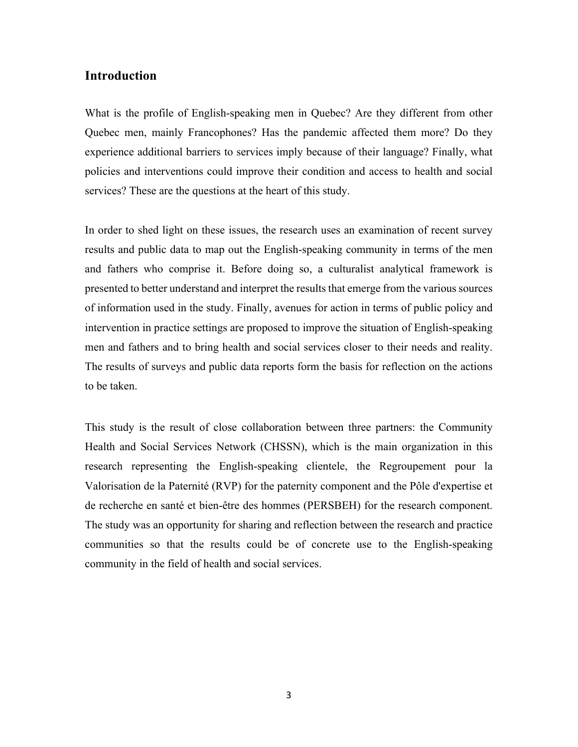#### **Introduction**

What is the profile of English-speaking men in Quebec? Are they different from other Quebec men, mainly Francophones? Has the pandemic affected them more? Do they experience additional barriers to services imply because of their language? Finally, what policies and interventions could improve their condition and access to health and social services? These are the questions at the heart of this study.

In order to shed light on these issues, the research uses an examination of recent survey results and public data to map out the English-speaking community in terms of the men and fathers who comprise it. Before doing so, a culturalist analytical framework is presented to better understand and interpret the results that emerge from the various sources of information used in the study. Finally, avenues for action in terms of public policy and intervention in practice settings are proposed to improve the situation of English-speaking men and fathers and to bring health and social services closer to their needs and reality. The results of surveys and public data reports form the basis for reflection on the actions to be taken.

This study is the result of close collaboration between three partners: the Community Health and Social Services Network (CHSSN), which is the main organization in this research representing the English-speaking clientele, the Regroupement pour la Valorisation de la Paternité (RVP) for the paternity component and the Pôle d'expertise et de recherche en santé et bien-être des hommes (PERSBEH) for the research component. The study was an opportunity for sharing and reflection between the research and practice communities so that the results could be of concrete use to the English-speaking community in the field of health and social services.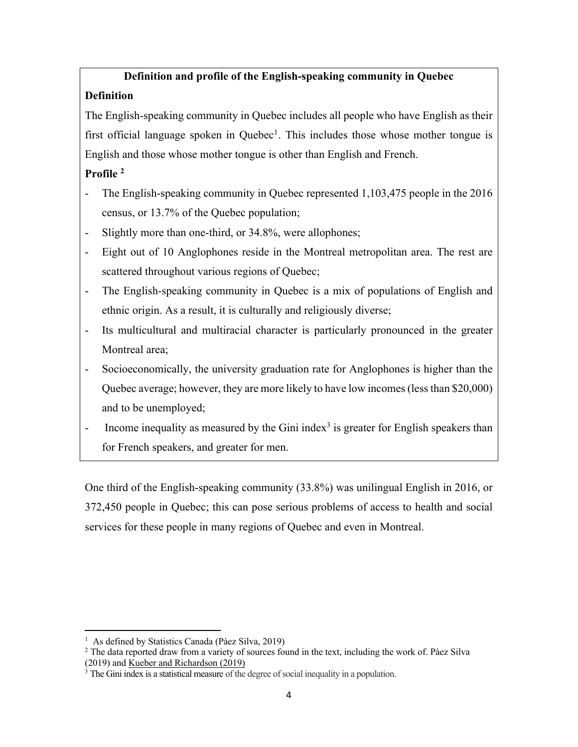# **Definition and profile of the English-speaking community in Quebec**

## **Definition**

The English-speaking community in Quebec includes all people who have English as their first official language spoken in Quebec<sup>1</sup>. This includes those whose mother tongue is English and those whose mother tongue is other than English and French.

## **Profile 2**

- The English-speaking community in Quebec represented 1,103,475 people in the 2016 census, or 13.7% of the Quebec population;
- Slightly more than one-third, or 34.8%, were allophones;
- Eight out of 10 Anglophones reside in the Montreal metropolitan area. The rest are scattered throughout various regions of Quebec;
- The English-speaking community in Quebec is a mix of populations of English and ethnic origin. As a result, it is culturally and religiously diverse;
- Its multicultural and multiracial character is particularly pronounced in the greater Montreal area;
- Socioeconomically, the university graduation rate for Anglophones is higher than the Quebec average; however, they are more likely to have low incomes (less than \$20,000) and to be unemployed;
- Income inequality as measured by the Gini index<sup>3</sup> is greater for English speakers than for French speakers, and greater for men.

One third of the English-speaking community (33.8%) was unilingual English in 2016, or 372,450 people in Quebec; this can pose serious problems of access to health and social services for these people in many regions of Quebec and even in Montreal.

<sup>&</sup>lt;sup>1</sup> As defined by Statistics Canada (Pàez Silva, 2019)

<sup>&</sup>lt;sup>2</sup> The data reported draw from a variety of sources found in the text, including the work of. Paez Silva (2019) and Kueber and Richardson (2019)

 $3$  The Gini index is a statistical measure of the degree of social inequality in a population.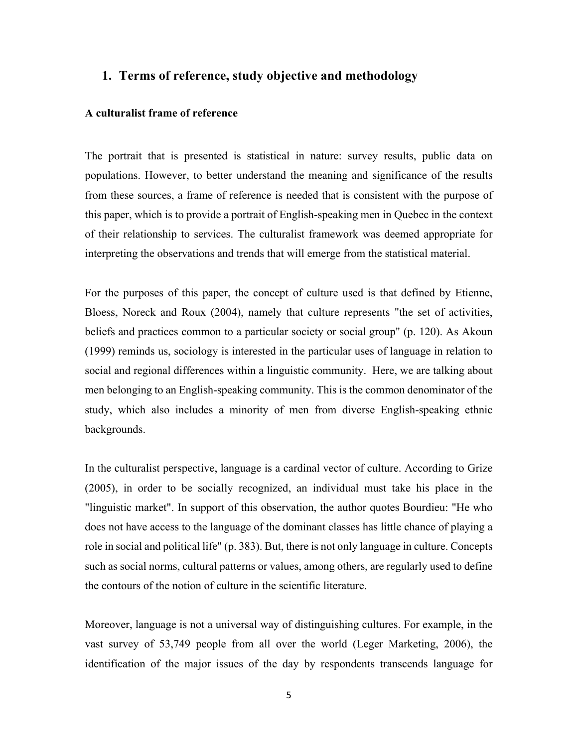## **1. Terms of reference, study objective and methodology**

#### **A culturalist frame of reference**

The portrait that is presented is statistical in nature: survey results, public data on populations. However, to better understand the meaning and significance of the results from these sources, a frame of reference is needed that is consistent with the purpose of this paper, which is to provide a portrait of English-speaking men in Quebec in the context of their relationship to services. The culturalist framework was deemed appropriate for interpreting the observations and trends that will emerge from the statistical material.

For the purposes of this paper, the concept of culture used is that defined by Etienne, Bloess, Noreck and Roux (2004), namely that culture represents "the set of activities, beliefs and practices common to a particular society or social group" (p. 120). As Akoun (1999) reminds us, sociology is interested in the particular uses of language in relation to social and regional differences within a linguistic community. Here, we are talking about men belonging to an English-speaking community. This is the common denominator of the study, which also includes a minority of men from diverse English-speaking ethnic backgrounds.

In the culturalist perspective, language is a cardinal vector of culture. According to Grize (2005), in order to be socially recognized, an individual must take his place in the "linguistic market". In support of this observation, the author quotes Bourdieu: "He who does not have access to the language of the dominant classes has little chance of playing a role in social and political life" (p. 383). But, there is not only language in culture. Concepts such as social norms, cultural patterns or values, among others, are regularly used to define the contours of the notion of culture in the scientific literature.

Moreover, language is not a universal way of distinguishing cultures. For example, in the vast survey of 53,749 people from all over the world (Leger Marketing, 2006), the identification of the major issues of the day by respondents transcends language for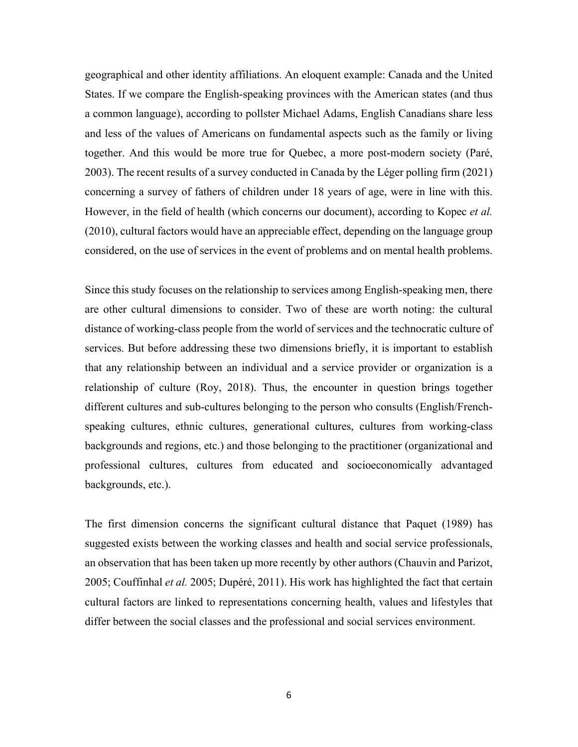geographical and other identity affiliations. An eloquent example: Canada and the United States. If we compare the English-speaking provinces with the American states (and thus a common language), according to pollster Michael Adams, English Canadians share less and less of the values of Americans on fundamental aspects such as the family or living together. And this would be more true for Quebec, a more post-modern society (Paré, 2003). The recent results of a survey conducted in Canada by the Léger polling firm (2021) concerning a survey of fathers of children under 18 years of age, were in line with this. However, in the field of health (which concerns our document), according to Kopec *et al.*  (2010), cultural factors would have an appreciable effect, depending on the language group considered, on the use of services in the event of problems and on mental health problems.

Since this study focuses on the relationship to services among English-speaking men, there are other cultural dimensions to consider. Two of these are worth noting: the cultural distance of working-class people from the world of services and the technocratic culture of services. But before addressing these two dimensions briefly, it is important to establish that any relationship between an individual and a service provider or organization is a relationship of culture (Roy, 2018). Thus, the encounter in question brings together different cultures and sub-cultures belonging to the person who consults (English/Frenchspeaking cultures, ethnic cultures, generational cultures, cultures from working-class backgrounds and regions, etc.) and those belonging to the practitioner (organizational and professional cultures, cultures from educated and socioeconomically advantaged backgrounds, etc.).

The first dimension concerns the significant cultural distance that Paquet (1989) has suggested exists between the working classes and health and social service professionals, an observation that has been taken up more recently by other authors (Chauvin and Parizot, 2005; Couffinhal *et al.* 2005; Dupéré, 2011). His work has highlighted the fact that certain cultural factors are linked to representations concerning health, values and lifestyles that differ between the social classes and the professional and social services environment.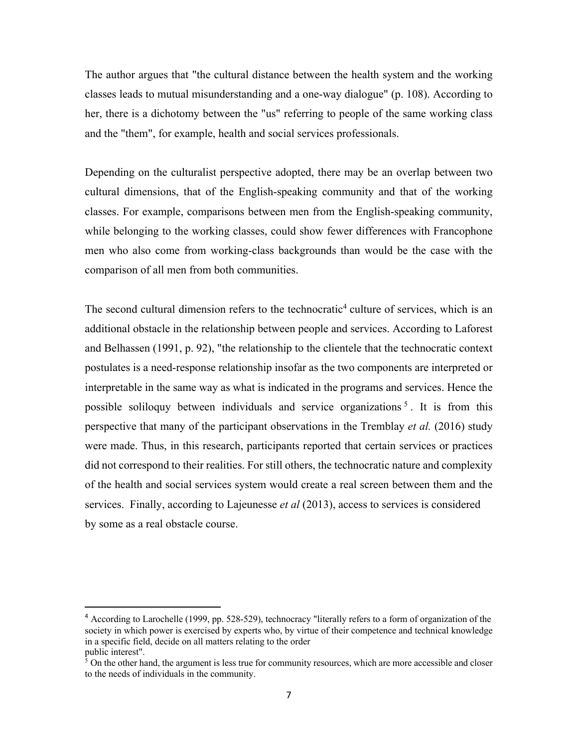The author argues that "the cultural distance between the health system and the working classes leads to mutual misunderstanding and a one-way dialogue" (p. 108). According to her, there is a dichotomy between the "us" referring to people of the same working class and the "them", for example, health and social services professionals.

Depending on the culturalist perspective adopted, there may be an overlap between two cultural dimensions, that of the English-speaking community and that of the working classes. For example, comparisons between men from the English-speaking community, while belonging to the working classes, could show fewer differences with Francophone men who also come from working-class backgrounds than would be the case with the comparison of all men from both communities.

The second cultural dimension refers to the technocratic<sup>4</sup> culture of services, which is an additional obstacle in the relationship between people and services. According to Laforest and Belhassen (1991, p. 92), "the relationship to the clientele that the technocratic context postulates is a need-response relationship insofar as the two components are interpreted or interpretable in the same way as what is indicated in the programs and services. Hence the possible soliloquy between individuals and service organizations <sup>5</sup> . It is from this perspective that many of the participant observations in the Tremblay *et al.* (2016) study were made. Thus, in this research, participants reported that certain services or practices did not correspond to their realities. For still others, the technocratic nature and complexity of the health and social services system would create a real screen between them and the services. Finally, according to Lajeunesse *et al* (2013), access to services is considered by some as a real obstacle course.

 $4$  According to Larochelle (1999, pp. 528-529), technocracy "literally refers to a form of organization of the society in which power is exercised by experts who, by virtue of their competence and technical knowledge in a specific field, decide on all matters relating to the order public interest".

 $\frac{1}{5}$  On the other hand, the argument is less true for community resources, which are more accessible and closer to the needs of individuals in the community.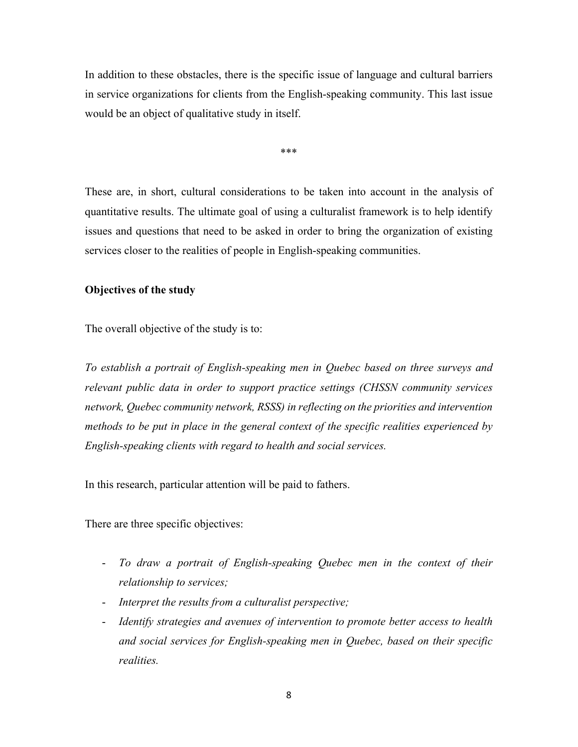In addition to these obstacles, there is the specific issue of language and cultural barriers in service organizations for clients from the English-speaking community. This last issue would be an object of qualitative study in itself.

\*\*\*

These are, in short, cultural considerations to be taken into account in the analysis of quantitative results. The ultimate goal of using a culturalist framework is to help identify issues and questions that need to be asked in order to bring the organization of existing services closer to the realities of people in English-speaking communities.

#### **Objectives of the study**

The overall objective of the study is to:

*To establish a portrait of English-speaking men in Quebec based on three surveys and relevant public data in order to support practice settings (CHSSN community services network, Quebec community network, RSSS) in reflecting on the priorities and intervention methods to be put in place in the general context of the specific realities experienced by English-speaking clients with regard to health and social services.*

In this research, particular attention will be paid to fathers.

There are three specific objectives:

- *To draw a portrait of English-speaking Quebec men in the context of their relationship to services;*
- *Interpret the results from a culturalist perspective;*
- *Identify strategies and avenues of intervention to promote better access to health and social services for English-speaking men in Quebec, based on their specific realities.*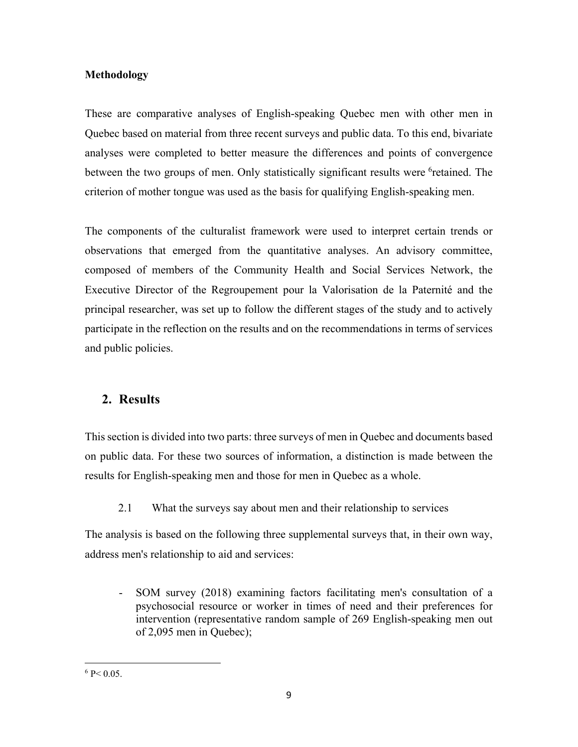#### **Methodology**

These are comparative analyses of English-speaking Quebec men with other men in Quebec based on material from three recent surveys and public data. To this end, bivariate analyses were completed to better measure the differences and points of convergence between the two groups of men. Only statistically significant results were <sup>6</sup>retained. The criterion of mother tongue was used as the basis for qualifying English-speaking men.

The components of the culturalist framework were used to interpret certain trends or observations that emerged from the quantitative analyses. An advisory committee, composed of members of the Community Health and Social Services Network, the Executive Director of the Regroupement pour la Valorisation de la Paternité and the principal researcher, was set up to follow the different stages of the study and to actively participate in the reflection on the results and on the recommendations in terms of services and public policies.

#### **2. Results**

This section is divided into two parts: three surveys of men in Quebec and documents based on public data. For these two sources of information, a distinction is made between the results for English-speaking men and those for men in Quebec as a whole.

2.1 What the surveys say about men and their relationship to services

The analysis is based on the following three supplemental surveys that, in their own way, address men's relationship to aid and services:

- SOM survey (2018) examining factors facilitating men's consultation of a psychosocial resource or worker in times of need and their preferences for intervention (representative random sample of 269 English-speaking men out of 2,095 men in Quebec);

 $6 P < 0.05$ .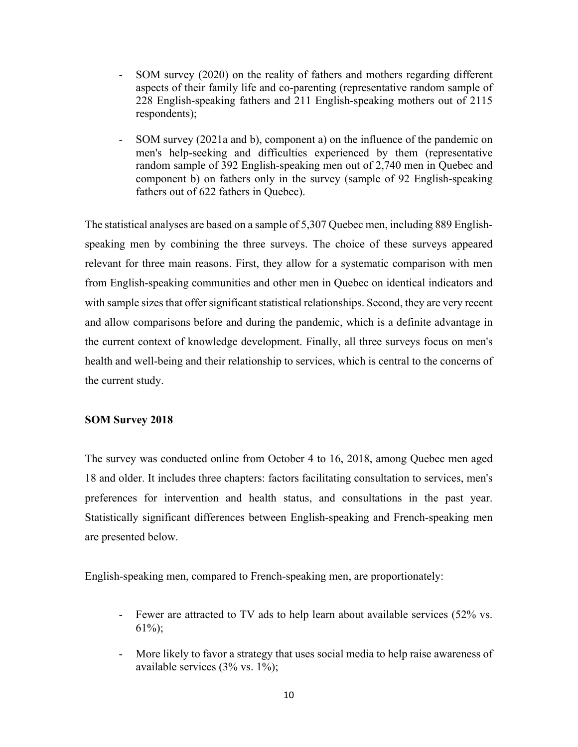- SOM survey (2020) on the reality of fathers and mothers regarding different aspects of their family life and co-parenting (representative random sample of 228 English-speaking fathers and 211 English-speaking mothers out of 2115 respondents);
- SOM survey (2021a and b), component a) on the influence of the pandemic on men's help-seeking and difficulties experienced by them (representative random sample of 392 English-speaking men out of 2,740 men in Quebec and component b) on fathers only in the survey (sample of 92 English-speaking fathers out of 622 fathers in Quebec).

The statistical analyses are based on a sample of 5,307 Quebec men, including 889 Englishspeaking men by combining the three surveys. The choice of these surveys appeared relevant for three main reasons. First, they allow for a systematic comparison with men from English-speaking communities and other men in Quebec on identical indicators and with sample sizes that offer significant statistical relationships. Second, they are very recent and allow comparisons before and during the pandemic, which is a definite advantage in the current context of knowledge development. Finally, all three surveys focus on men's health and well-being and their relationship to services, which is central to the concerns of the current study.

#### **SOM Survey 2018**

The survey was conducted online from October 4 to 16, 2018, among Quebec men aged 18 and older. It includes three chapters: factors facilitating consultation to services, men's preferences for intervention and health status, and consultations in the past year. Statistically significant differences between English-speaking and French-speaking men are presented below.

English-speaking men, compared to French-speaking men, are proportionately:

- Fewer are attracted to TV ads to help learn about available services (52% vs. 61%);
- More likely to favor a strategy that uses social media to help raise awareness of available services (3% vs. 1%);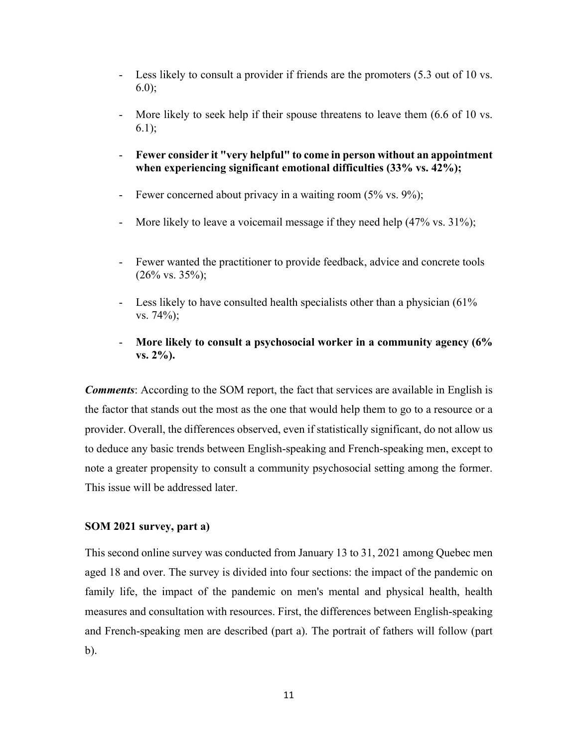- Less likely to consult a provider if friends are the promoters (5.3 out of 10 vs. 6.0);
- More likely to seek help if their spouse threatens to leave them (6.6 of 10 vs.) 6.1);
- **Fewer consider it "very helpful" to come in person without an appointment when experiencing significant emotional difficulties (33% vs. 42%);**
- Fewer concerned about privacy in a waiting room (5% vs. 9%);
- More likely to leave a voicemail message if they need help (47% vs. 31%);
- Fewer wanted the practitioner to provide feedback, advice and concrete tools  $(26\% \text{ vs. } 35\%);$
- Less likely to have consulted health specialists other than a physician (61%) vs. 74%);
- **More likely to consult a psychosocial worker in a community agency (6% vs. 2%).**

*Comments*: According to the SOM report, the fact that services are available in English is the factor that stands out the most as the one that would help them to go to a resource or a provider. Overall, the differences observed, even if statistically significant, do not allow us to deduce any basic trends between English-speaking and French-speaking men, except to note a greater propensity to consult a community psychosocial setting among the former. This issue will be addressed later.

#### **SOM 2021 survey, part a)**

This second online survey was conducted from January 13 to 31, 2021 among Quebec men aged 18 and over. The survey is divided into four sections: the impact of the pandemic on family life, the impact of the pandemic on men's mental and physical health, health measures and consultation with resources. First, the differences between English-speaking and French-speaking men are described (part a). The portrait of fathers will follow (part b).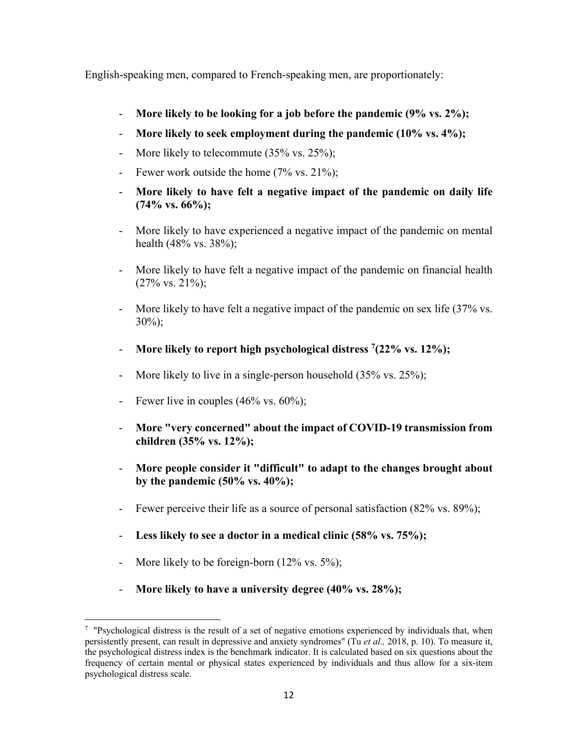English-speaking men, compared to French-speaking men, are proportionately:

- **More likely to be looking for a job before the pandemic (9% vs. 2%);**
- **More likely to seek employment during the pandemic (10% vs. 4%);**
- More likely to telecommute (35% vs. 25%);
- Fewer work outside the home  $(7\% \text{ vs. } 21\%);$
- **More likely to have felt a negative impact of the pandemic on daily life (74% vs. 66%);**
- More likely to have experienced a negative impact of the pandemic on mental health (48% vs. 38%);
- More likely to have felt a negative impact of the pandemic on financial health  $(27\% \text{ vs. } 21\%);$
- More likely to have felt a negative impact of the pandemic on sex life (37% vs. 30%);
- **More likely to report high psychological distress 7 (22% vs. 12%);**
- More likely to live in a single-person household (35% vs. 25%);
- Fewer live in couples  $(46\% \text{ vs. } 60\%);$
- **More "very concerned" about the impact of COVID-19 transmission from children (35% vs. 12%);**
- **More people consider it "difficult" to adapt to the changes brought about by the pandemic (50% vs. 40%);**
- Fewer perceive their life as a source of personal satisfaction (82% vs. 89%);
- **Less likely to see a doctor in a medical clinic (58% vs. 75%);**
- More likely to be foreign-born (12% vs. 5%);
- **More likely to have a university degree (40% vs. 28%);**

<sup>&</sup>lt;sup>7</sup> "Psychological distress is the result of a set of negative emotions experienced by individuals that, when persistently present, can result in depressive and anxiety syndromes" (Tu *et al.,* 2018, p. 10). To measure it, the psychological distress index is the benchmark indicator. It is calculated based on six questions about the frequency of certain mental or physical states experienced by individuals and thus allow for a six-item psychological distress scale.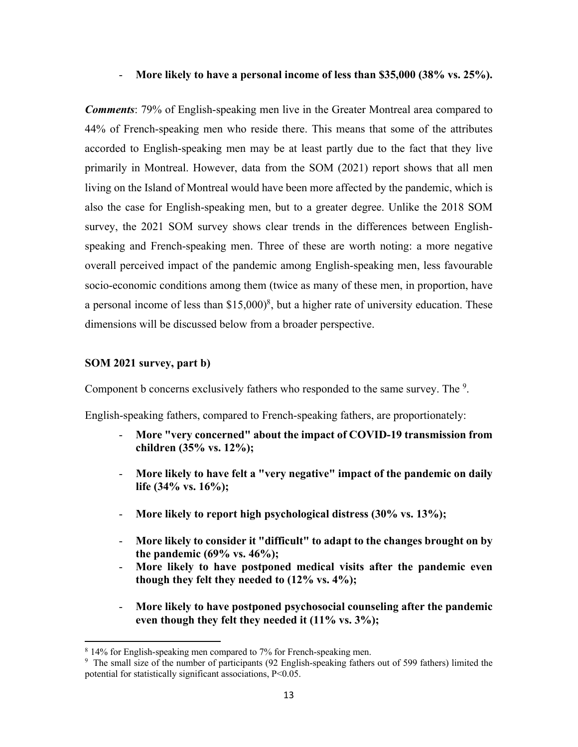#### - **More likely to have a personal income of less than \$35,000 (38% vs. 25%).**

*Comments*: 79% of English-speaking men live in the Greater Montreal area compared to 44% of French-speaking men who reside there. This means that some of the attributes accorded to English-speaking men may be at least partly due to the fact that they live primarily in Montreal. However, data from the SOM (2021) report shows that all men living on the Island of Montreal would have been more affected by the pandemic, which is also the case for English-speaking men, but to a greater degree. Unlike the 2018 SOM survey, the 2021 SOM survey shows clear trends in the differences between Englishspeaking and French-speaking men. Three of these are worth noting: a more negative overall perceived impact of the pandemic among English-speaking men, less favourable socio-economic conditions among them (twice as many of these men, in proportion, have a personal income of less than  $$15,000$ <sup>8</sup>, but a higher rate of university education. These dimensions will be discussed below from a broader perspective.

#### **SOM 2021 survey, part b)**

Component b concerns exclusively fathers who responded to the same survey. The <sup>9</sup>.

English-speaking fathers, compared to French-speaking fathers, are proportionately:

- **More "very concerned" about the impact of COVID-19 transmission from children (35% vs. 12%);**
- **More likely to have felt a "very negative" impact of the pandemic on daily life (34% vs. 16%);**
- **More likely to report high psychological distress (30% vs. 13%);**
- **More likely to consider it "difficult" to adapt to the changes brought on by the pandemic (69% vs. 46%);**
- **More likely to have postponed medical visits after the pandemic even though they felt they needed to (12% vs. 4%);**
- **More likely to have postponed psychosocial counseling after the pandemic even though they felt they needed it (11% vs. 3%);**

<sup>8</sup> 14% for English-speaking men compared to 7% for French-speaking men.

<sup>&</sup>lt;sup>9</sup> The small size of the number of participants (92 English-speaking fathers out of 599 fathers) limited the potential for statistically significant associations, P<0.05.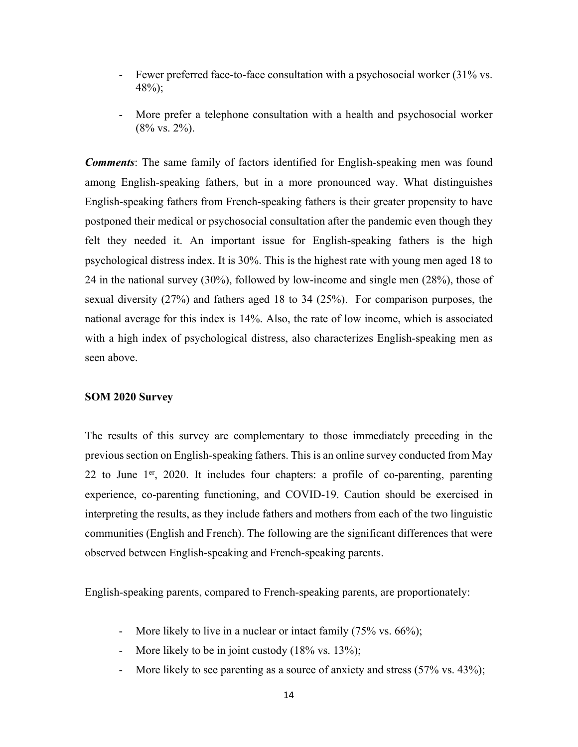- Fewer preferred face-to-face consultation with a psychosocial worker (31% vs. 48%);
- More prefer a telephone consultation with a health and psychosocial worker (8% vs. 2%).

*Comments*: The same family of factors identified for English-speaking men was found among English-speaking fathers, but in a more pronounced way. What distinguishes English-speaking fathers from French-speaking fathers is their greater propensity to have postponed their medical or psychosocial consultation after the pandemic even though they felt they needed it. An important issue for English-speaking fathers is the high psychological distress index. It is 30%. This is the highest rate with young men aged 18 to 24 in the national survey (30%), followed by low-income and single men (28%), those of sexual diversity (27%) and fathers aged 18 to 34 (25%). For comparison purposes, the national average for this index is 14%. Also, the rate of low income, which is associated with a high index of psychological distress, also characterizes English-speaking men as seen above.

#### **SOM 2020 Survey**

The results of this survey are complementary to those immediately preceding in the previous section on English-speaking fathers. This is an online survey conducted from May 22 to June  $1<sup>er</sup>$ , 2020. It includes four chapters: a profile of co-parenting, parenting experience, co-parenting functioning, and COVID-19. Caution should be exercised in interpreting the results, as they include fathers and mothers from each of the two linguistic communities (English and French). The following are the significant differences that were observed between English-speaking and French-speaking parents.

English-speaking parents, compared to French-speaking parents, are proportionately:

- More likely to live in a nuclear or intact family (75% vs. 66%);
- More likely to be in joint custody (18% vs. 13%);
- More likely to see parenting as a source of anxiety and stress (57% vs. 43%);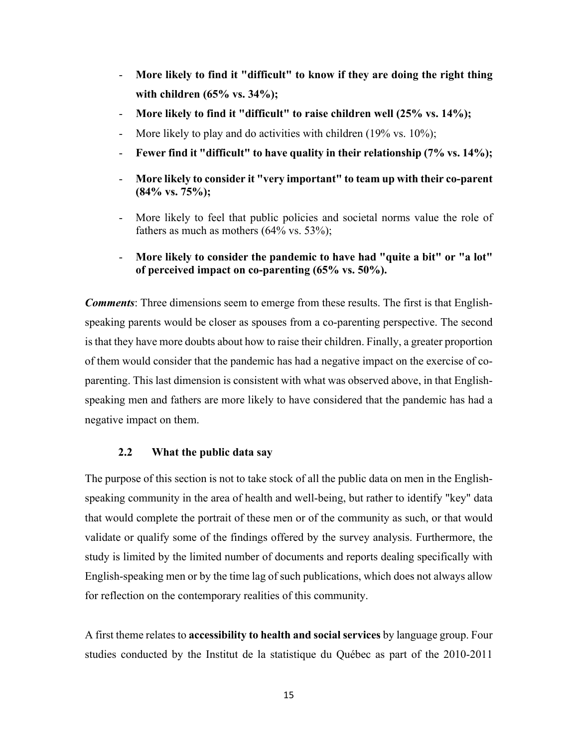- **More likely to find it "difficult" to know if they are doing the right thing with children (65% vs. 34%);**
- **More likely to find it "difficult" to raise children well (25% vs. 14%);**
- More likely to play and do activities with children (19% vs. 10%);
- **Fewer find it "difficult" to have quality in their relationship (7% vs. 14%);**
- **More likely to consider it "very important" to team up with their co-parent (84% vs. 75%);**
- More likely to feel that public policies and societal norms value the role of fathers as much as mothers (64% vs. 53%);
- **More likely to consider the pandemic to have had "quite a bit" or "a lot" of perceived impact on co-parenting (65% vs. 50%).**

*Comments*: Three dimensions seem to emerge from these results. The first is that Englishspeaking parents would be closer as spouses from a co-parenting perspective. The second is that they have more doubts about how to raise their children. Finally, a greater proportion of them would consider that the pandemic has had a negative impact on the exercise of coparenting. This last dimension is consistent with what was observed above, in that Englishspeaking men and fathers are more likely to have considered that the pandemic has had a negative impact on them.

#### **2.2 What the public data say**

The purpose of this section is not to take stock of all the public data on men in the Englishspeaking community in the area of health and well-being, but rather to identify "key" data that would complete the portrait of these men or of the community as such, or that would validate or qualify some of the findings offered by the survey analysis. Furthermore, the study is limited by the limited number of documents and reports dealing specifically with English-speaking men or by the time lag of such publications, which does not always allow for reflection on the contemporary realities of this community.

A first theme relates to **accessibility to health and social services** by language group. Four studies conducted by the Institut de la statistique du Québec as part of the 2010-2011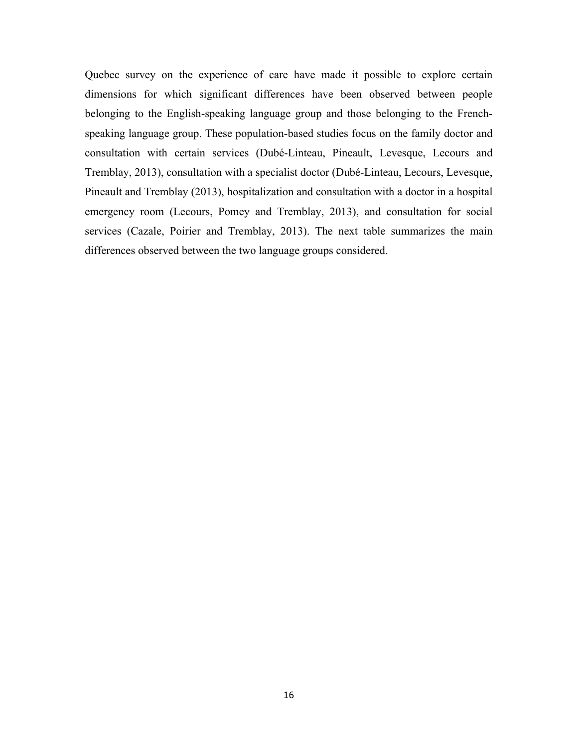Quebec survey on the experience of care have made it possible to explore certain dimensions for which significant differences have been observed between people belonging to the English-speaking language group and those belonging to the Frenchspeaking language group. These population-based studies focus on the family doctor and consultation with certain services (Dubé-Linteau, Pineault, Levesque, Lecours and Tremblay, 2013), consultation with a specialist doctor (Dubé-Linteau, Lecours, Levesque, Pineault and Tremblay (2013), hospitalization and consultation with a doctor in a hospital emergency room (Lecours, Pomey and Tremblay, 2013), and consultation for social services (Cazale, Poirier and Tremblay, 2013). The next table summarizes the main differences observed between the two language groups considered.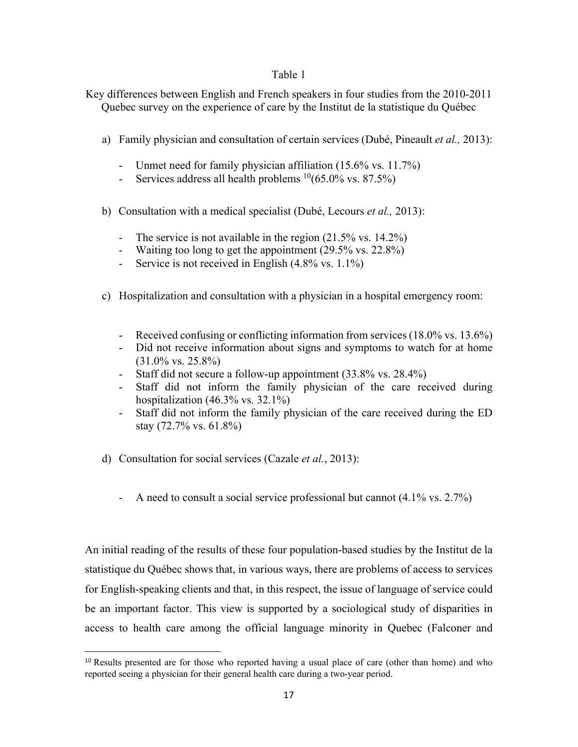#### Table 1

Key differences between English and French speakers in four studies from the 2010-2011 Quebec survey on the experience of care by the Institut de la statistique du Québec

- a) Family physician and consultation of certain services (Dubé, Pineault *et al.,* 2013):
	- Unmet need for family physician affiliation (15.6% vs. 11.7%)
	- Services address all health problems  $\frac{10(65.0\% \text{ vs. } 87.5\%)}{1000}$
- b) Consultation with a medical specialist (Dubé, Lecours *et al.,* 2013):
	- The service is not available in the region  $(21.5\% \text{ vs. } 14.2\%)$
	- Waiting too long to get the appointment (29.5% vs. 22.8%)
	- Service is not received in English (4.8% vs. 1.1%)
- c) Hospitalization and consultation with a physician in a hospital emergency room:
	- Received confusing or conflicting information from services (18.0% vs. 13.6%)
	- Did not receive information about signs and symptoms to watch for at home  $(31.0\% \text{ vs. } 25.8\%)$
	- Staff did not secure a follow-up appointment (33.8% vs. 28.4%)
	- Staff did not inform the family physician of the care received during hospitalization (46.3% vs. 32.1%)
	- Staff did not inform the family physician of the care received during the ED stay (72.7% vs. 61.8%)
- d) Consultation for social services (Cazale *et al.*, 2013):
	- A need to consult a social service professional but cannot (4.1% vs. 2.7%)

An initial reading of the results of these four population-based studies by the Institut de la statistique du Québec shows that, in various ways, there are problems of access to services for English-speaking clients and that, in this respect, the issue of language of service could be an important factor. This view is supported by a sociological study of disparities in access to health care among the official language minority in Quebec (Falconer and

<sup>10</sup> Results presented are for those who reported having a usual place of care (other than home) and who reported seeing a physician for their general health care during a two-year period.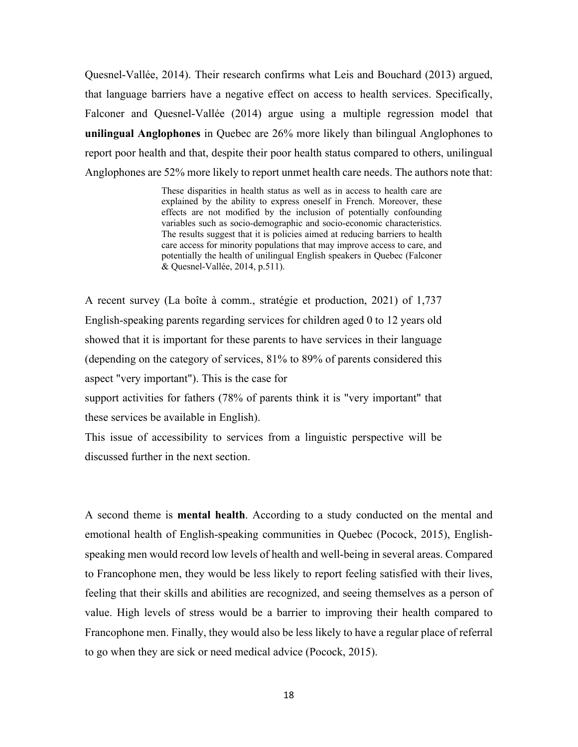Quesnel-Vallée, 2014). Their research confirms what Leis and Bouchard (2013) argued, that language barriers have a negative effect on access to health services. Specifically, Falconer and Quesnel-Vallée (2014) argue using a multiple regression model that **unilingual Anglophones** in Quebec are 26% more likely than bilingual Anglophones to report poor health and that, despite their poor health status compared to others, unilingual Anglophones are 52% more likely to report unmet health care needs. The authors note that:

> These disparities in health status as well as in access to health care are explained by the ability to express oneself in French. Moreover, these effects are not modified by the inclusion of potentially confounding variables such as socio-demographic and socio-economic characteristics. The results suggest that it is policies aimed at reducing barriers to health care access for minority populations that may improve access to care, and potentially the health of unilingual English speakers in Quebec (Falconer & Quesnel-Vallée, 2014, p.511).

A recent survey (La boîte à comm., stratégie et production, 2021) of 1,737 English-speaking parents regarding services for children aged 0 to 12 years old showed that it is important for these parents to have services in their language (depending on the category of services, 81% to 89% of parents considered this aspect "very important"). This is the case for

support activities for fathers (78% of parents think it is "very important" that these services be available in English).

This issue of accessibility to services from a linguistic perspective will be discussed further in the next section.

A second theme is **mental health**. According to a study conducted on the mental and emotional health of English-speaking communities in Quebec (Pocock, 2015), Englishspeaking men would record low levels of health and well-being in several areas. Compared to Francophone men, they would be less likely to report feeling satisfied with their lives, feeling that their skills and abilities are recognized, and seeing themselves as a person of value. High levels of stress would be a barrier to improving their health compared to Francophone men. Finally, they would also be less likely to have a regular place of referral to go when they are sick or need medical advice (Pocock, 2015).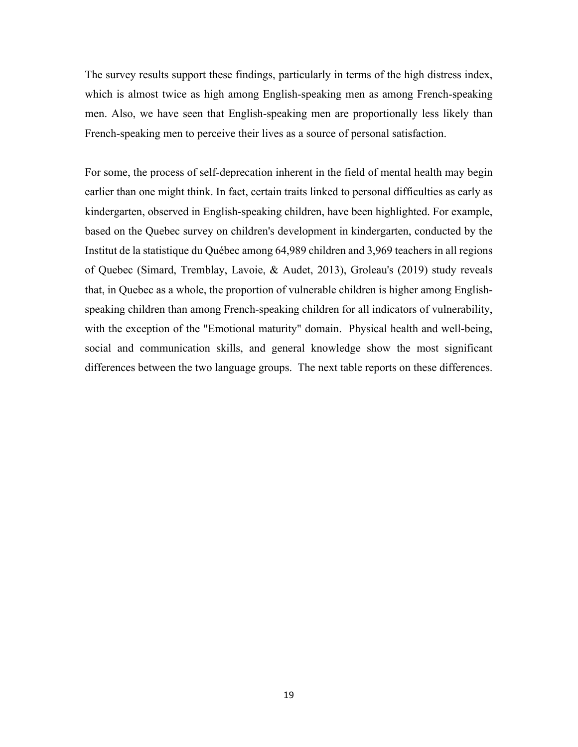The survey results support these findings, particularly in terms of the high distress index, which is almost twice as high among English-speaking men as among French-speaking men. Also, we have seen that English-speaking men are proportionally less likely than French-speaking men to perceive their lives as a source of personal satisfaction.

For some, the process of self-deprecation inherent in the field of mental health may begin earlier than one might think. In fact, certain traits linked to personal difficulties as early as kindergarten, observed in English-speaking children, have been highlighted. For example, based on the Quebec survey on children's development in kindergarten, conducted by the Institut de la statistique du Québec among 64,989 children and 3,969 teachers in all regions of Quebec (Simard, Tremblay, Lavoie, & Audet, 2013), Groleau's (2019) study reveals that, in Quebec as a whole, the proportion of vulnerable children is higher among Englishspeaking children than among French-speaking children for all indicators of vulnerability, with the exception of the "Emotional maturity" domain. Physical health and well-being, social and communication skills, and general knowledge show the most significant differences between the two language groups. The next table reports on these differences.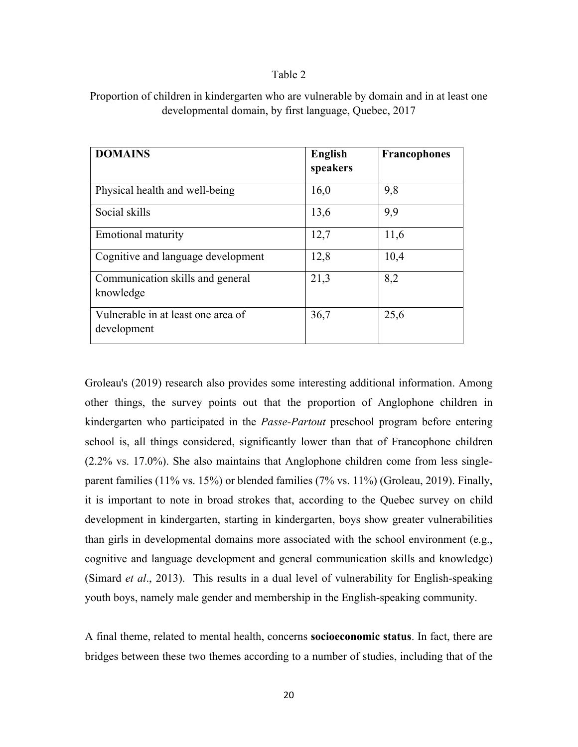#### Table 2

| <b>DOMAINS</b>                                    | <b>English</b><br>speakers | <b>Francophones</b> |
|---------------------------------------------------|----------------------------|---------------------|
| Physical health and well-being                    | 16,0                       | 9,8                 |
| Social skills                                     | 13,6                       | 9,9                 |
| Emotional maturity                                | 12,7                       | 11,6                |
| Cognitive and language development                | 12,8                       | 10,4                |
| Communication skills and general<br>knowledge     | 21,3                       | 8,2                 |
| Vulnerable in at least one area of<br>development | 36,7                       | 25,6                |

Proportion of children in kindergarten who are vulnerable by domain and in at least one developmental domain, by first language, Quebec, 2017

Groleau's (2019) research also provides some interesting additional information. Among other things, the survey points out that the proportion of Anglophone children in kindergarten who participated in the *Passe-Partout* preschool program before entering school is, all things considered, significantly lower than that of Francophone children (2.2% vs. 17.0%). She also maintains that Anglophone children come from less singleparent families (11% vs. 15%) or blended families (7% vs. 11%) (Groleau, 2019). Finally, it is important to note in broad strokes that, according to the Quebec survey on child development in kindergarten, starting in kindergarten, boys show greater vulnerabilities than girls in developmental domains more associated with the school environment (e.g., cognitive and language development and general communication skills and knowledge) (Simard *et al*., 2013). This results in a dual level of vulnerability for English-speaking youth boys, namely male gender and membership in the English-speaking community.

A final theme, related to mental health, concerns **socioeconomic status**. In fact, there are bridges between these two themes according to a number of studies, including that of the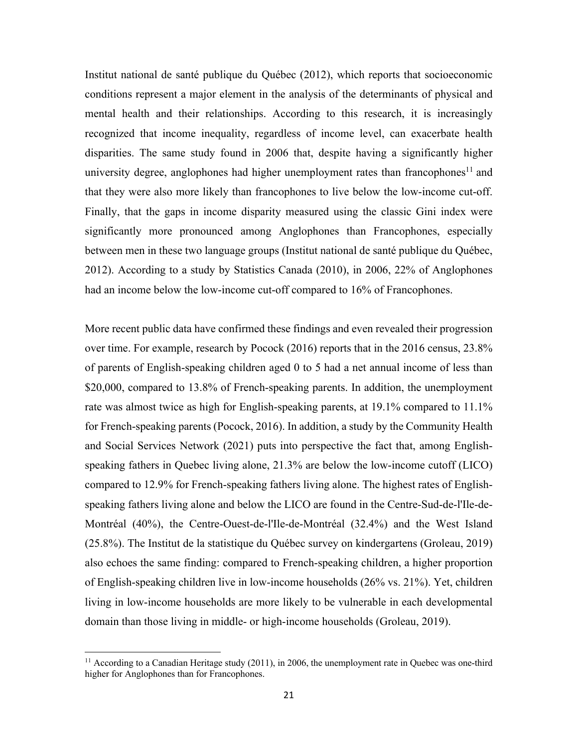Institut national de santé publique du Québec (2012), which reports that socioeconomic conditions represent a major element in the analysis of the determinants of physical and mental health and their relationships. According to this research, it is increasingly recognized that income inequality, regardless of income level, can exacerbate health disparities. The same study found in 2006 that, despite having a significantly higher university degree, anglophones had higher unemployment rates than francophones<sup>11</sup> and that they were also more likely than francophones to live below the low-income cut-off. Finally, that the gaps in income disparity measured using the classic Gini index were significantly more pronounced among Anglophones than Francophones, especially between men in these two language groups (Institut national de santé publique du Québec, 2012). According to a study by Statistics Canada (2010), in 2006, 22% of Anglophones had an income below the low-income cut-off compared to 16% of Francophones.

More recent public data have confirmed these findings and even revealed their progression over time. For example, research by Pocock (2016) reports that in the 2016 census, 23.8% of parents of English-speaking children aged 0 to 5 had a net annual income of less than \$20,000, compared to 13.8% of French-speaking parents. In addition, the unemployment rate was almost twice as high for English-speaking parents, at 19.1% compared to 11.1% for French-speaking parents (Pocock, 2016). In addition, a study by the Community Health and Social Services Network (2021) puts into perspective the fact that, among Englishspeaking fathers in Quebec living alone, 21.3% are below the low-income cutoff (LICO) compared to 12.9% for French-speaking fathers living alone. The highest rates of Englishspeaking fathers living alone and below the LICO are found in the Centre-Sud-de-l'Ile-de-Montréal (40%), the Centre-Ouest-de-l'Ile-de-Montréal (32.4%) and the West Island (25.8%). The Institut de la statistique du Québec survey on kindergartens (Groleau, 2019) also echoes the same finding: compared to French-speaking children, a higher proportion of English-speaking children live in low-income households (26% vs. 21%). Yet, children living in low-income households are more likely to be vulnerable in each developmental domain than those living in middle- or high-income households (Groleau, 2019).

 $11$  According to a Canadian Heritage study (2011), in 2006, the unemployment rate in Quebec was one-third higher for Anglophones than for Francophones.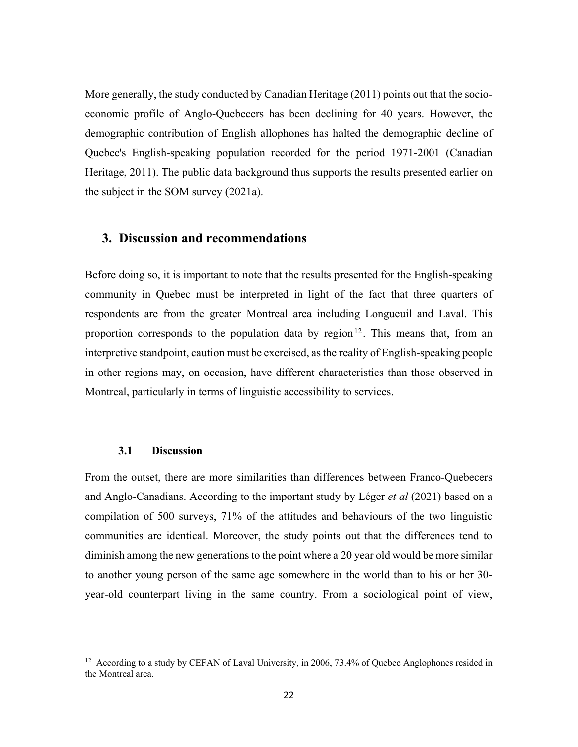More generally, the study conducted by Canadian Heritage (2011) points out that the socioeconomic profile of Anglo-Quebecers has been declining for 40 years. However, the demographic contribution of English allophones has halted the demographic decline of Quebec's English-speaking population recorded for the period 1971-2001 (Canadian Heritage, 2011). The public data background thus supports the results presented earlier on the subject in the SOM survey (2021a).

#### **3. Discussion and recommendations**

Before doing so, it is important to note that the results presented for the English-speaking community in Quebec must be interpreted in light of the fact that three quarters of respondents are from the greater Montreal area including Longueuil and Laval. This proportion corresponds to the population data by region<sup>12</sup>. This means that, from an interpretive standpoint, caution must be exercised, as the reality of English-speaking people in other regions may, on occasion, have different characteristics than those observed in Montreal, particularly in terms of linguistic accessibility to services.

#### **3.1 Discussion**

From the outset, there are more similarities than differences between Franco-Quebecers and Anglo-Canadians. According to the important study by Léger *et al* (2021) based on a compilation of 500 surveys, 71% of the attitudes and behaviours of the two linguistic communities are identical. Moreover, the study points out that the differences tend to diminish among the new generations to the point where a 20 year old would be more similar to another young person of the same age somewhere in the world than to his or her 30 year-old counterpart living in the same country. From a sociological point of view,

<sup>&</sup>lt;sup>12</sup> According to a study by CEFAN of Laval University, in 2006, 73.4% of Quebec Anglophones resided in the Montreal area.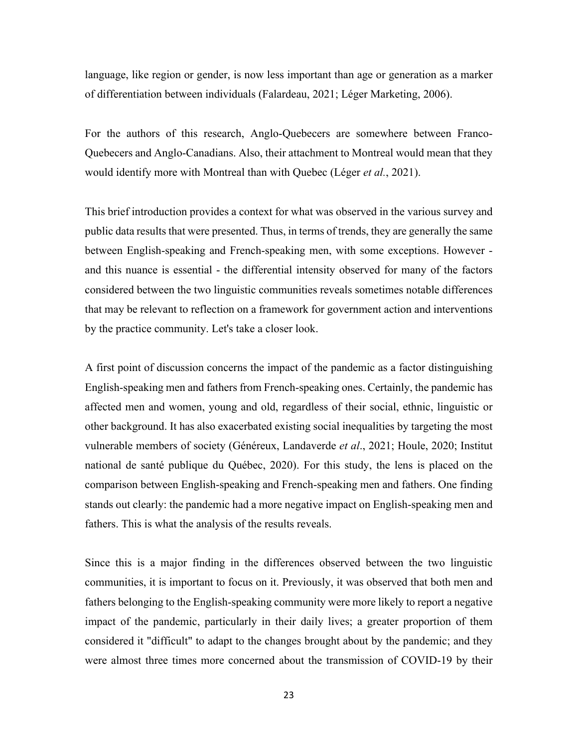language, like region or gender, is now less important than age or generation as a marker of differentiation between individuals (Falardeau, 2021; Léger Marketing, 2006).

For the authors of this research, Anglo-Quebecers are somewhere between Franco-Quebecers and Anglo-Canadians. Also, their attachment to Montreal would mean that they would identify more with Montreal than with Quebec (Léger *et al.*, 2021).

This brief introduction provides a context for what was observed in the various survey and public data results that were presented. Thus, in terms of trends, they are generally the same between English-speaking and French-speaking men, with some exceptions. However and this nuance is essential - the differential intensity observed for many of the factors considered between the two linguistic communities reveals sometimes notable differences that may be relevant to reflection on a framework for government action and interventions by the practice community. Let's take a closer look.

A first point of discussion concerns the impact of the pandemic as a factor distinguishing English-speaking men and fathers from French-speaking ones. Certainly, the pandemic has affected men and women, young and old, regardless of their social, ethnic, linguistic or other background. It has also exacerbated existing social inequalities by targeting the most vulnerable members of society (Généreux, Landaverde *et al*., 2021; Houle, 2020; Institut national de santé publique du Québec, 2020). For this study, the lens is placed on the comparison between English-speaking and French-speaking men and fathers. One finding stands out clearly: the pandemic had a more negative impact on English-speaking men and fathers. This is what the analysis of the results reveals.

Since this is a major finding in the differences observed between the two linguistic communities, it is important to focus on it. Previously, it was observed that both men and fathers belonging to the English-speaking community were more likely to report a negative impact of the pandemic, particularly in their daily lives; a greater proportion of them considered it "difficult" to adapt to the changes brought about by the pandemic; and they were almost three times more concerned about the transmission of COVID-19 by their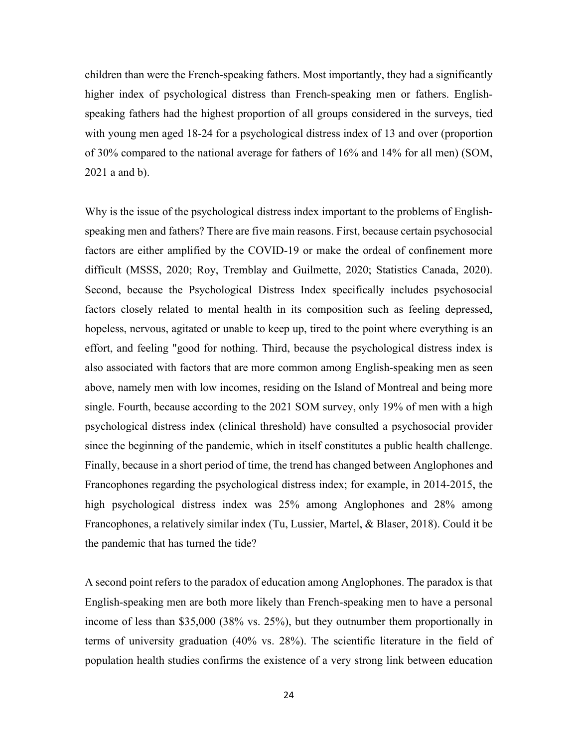children than were the French-speaking fathers. Most importantly, they had a significantly higher index of psychological distress than French-speaking men or fathers. Englishspeaking fathers had the highest proportion of all groups considered in the surveys, tied with young men aged 18-24 for a psychological distress index of 13 and over (proportion of 30% compared to the national average for fathers of 16% and 14% for all men) (SOM, 2021 a and b).

Why is the issue of the psychological distress index important to the problems of Englishspeaking men and fathers? There are five main reasons. First, because certain psychosocial factors are either amplified by the COVID-19 or make the ordeal of confinement more difficult (MSSS, 2020; Roy, Tremblay and Guilmette, 2020; Statistics Canada, 2020). Second, because the Psychological Distress Index specifically includes psychosocial factors closely related to mental health in its composition such as feeling depressed, hopeless, nervous, agitated or unable to keep up, tired to the point where everything is an effort, and feeling "good for nothing. Third, because the psychological distress index is also associated with factors that are more common among English-speaking men as seen above, namely men with low incomes, residing on the Island of Montreal and being more single. Fourth, because according to the 2021 SOM survey, only 19% of men with a high psychological distress index (clinical threshold) have consulted a psychosocial provider since the beginning of the pandemic, which in itself constitutes a public health challenge. Finally, because in a short period of time, the trend has changed between Anglophones and Francophones regarding the psychological distress index; for example, in 2014-2015, the high psychological distress index was 25% among Anglophones and 28% among Francophones, a relatively similar index (Tu, Lussier, Martel, & Blaser, 2018). Could it be the pandemic that has turned the tide?

A second point refers to the paradox of education among Anglophones. The paradox is that English-speaking men are both more likely than French-speaking men to have a personal income of less than \$35,000 (38% vs. 25%), but they outnumber them proportionally in terms of university graduation (40% vs. 28%). The scientific literature in the field of population health studies confirms the existence of a very strong link between education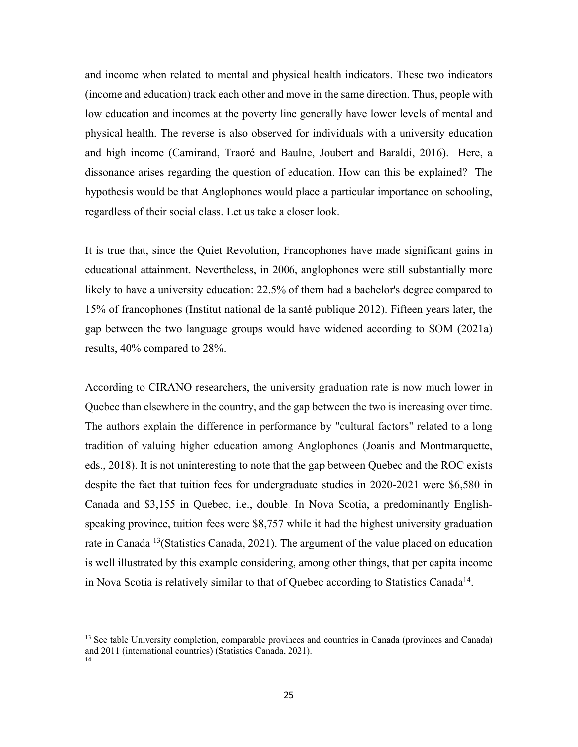and income when related to mental and physical health indicators. These two indicators (income and education) track each other and move in the same direction. Thus, people with low education and incomes at the poverty line generally have lower levels of mental and physical health. The reverse is also observed for individuals with a university education and high income (Camirand, Traoré and Baulne, Joubert and Baraldi, 2016). Here, a dissonance arises regarding the question of education. How can this be explained? The hypothesis would be that Anglophones would place a particular importance on schooling, regardless of their social class. Let us take a closer look.

It is true that, since the Quiet Revolution, Francophones have made significant gains in educational attainment. Nevertheless, in 2006, anglophones were still substantially more likely to have a university education: 22.5% of them had a bachelor's degree compared to 15% of francophones (Institut national de la santé publique 2012). Fifteen years later, the gap between the two language groups would have widened according to SOM (2021a) results, 40% compared to 28%.

According to CIRANO researchers, the university graduation rate is now much lower in Quebec than elsewhere in the country, and the gap between the two is increasing over time. The authors explain the difference in performance by "cultural factors" related to a long tradition of valuing higher education among Anglophones (Joanis and Montmarquette, eds., 2018). It is not uninteresting to note that the gap between Quebec and the ROC exists despite the fact that tuition fees for undergraduate studies in 2020-2021 were \$6,580 in Canada and \$3,155 in Quebec, i.e., double. In Nova Scotia, a predominantly Englishspeaking province, tuition fees were \$8,757 while it had the highest university graduation rate in Canada <sup>13</sup> (Statistics Canada, 2021). The argument of the value placed on education is well illustrated by this example considering, among other things, that per capita income in Nova Scotia is relatively similar to that of Quebec according to Statistics Canada<sup>14</sup>.

<sup>&</sup>lt;sup>13</sup> See table University completion, comparable provinces and countries in Canada (provinces and Canada) and 2011 (international countries) (Statistics Canada, 2021).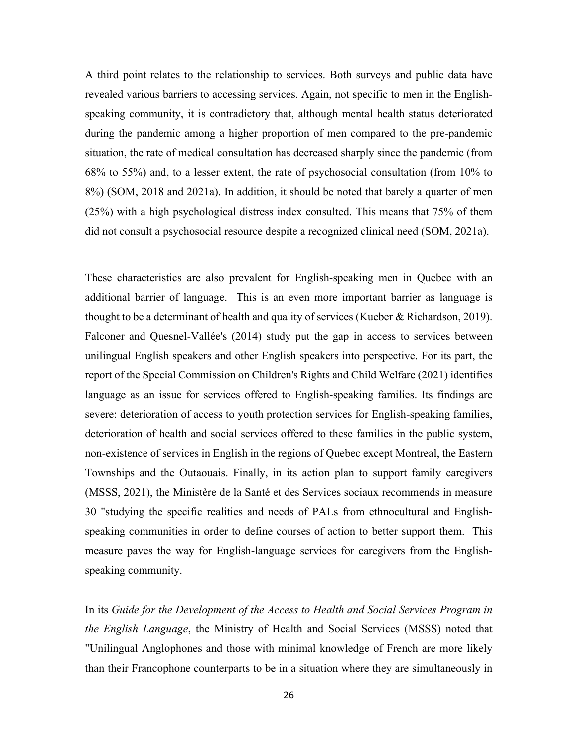A third point relates to the relationship to services. Both surveys and public data have revealed various barriers to accessing services. Again, not specific to men in the Englishspeaking community, it is contradictory that, although mental health status deteriorated during the pandemic among a higher proportion of men compared to the pre-pandemic situation, the rate of medical consultation has decreased sharply since the pandemic (from 68% to 55%) and, to a lesser extent, the rate of psychosocial consultation (from 10% to 8%) (SOM, 2018 and 2021a). In addition, it should be noted that barely a quarter of men (25%) with a high psychological distress index consulted. This means that 75% of them did not consult a psychosocial resource despite a recognized clinical need (SOM, 2021a).

These characteristics are also prevalent for English-speaking men in Quebec with an additional barrier of language. This is an even more important barrier as language is thought to be a determinant of health and quality of services (Kueber & Richardson, 2019). Falconer and Quesnel-Vallée's (2014) study put the gap in access to services between unilingual English speakers and other English speakers into perspective. For its part, the report of the Special Commission on Children's Rights and Child Welfare (2021) identifies language as an issue for services offered to English-speaking families. Its findings are severe: deterioration of access to youth protection services for English-speaking families, deterioration of health and social services offered to these families in the public system, non-existence of services in English in the regions of Quebec except Montreal, the Eastern Townships and the Outaouais. Finally, in its action plan to support family caregivers (MSSS, 2021), the Ministère de la Santé et des Services sociaux recommends in measure 30 "studying the specific realities and needs of PALs from ethnocultural and Englishspeaking communities in order to define courses of action to better support them. This measure paves the way for English-language services for caregivers from the Englishspeaking community.

In its *Guide for the Development of the Access to Health and Social Services Program in the English Language*, the Ministry of Health and Social Services (MSSS) noted that "Unilingual Anglophones and those with minimal knowledge of French are more likely than their Francophone counterparts to be in a situation where they are simultaneously in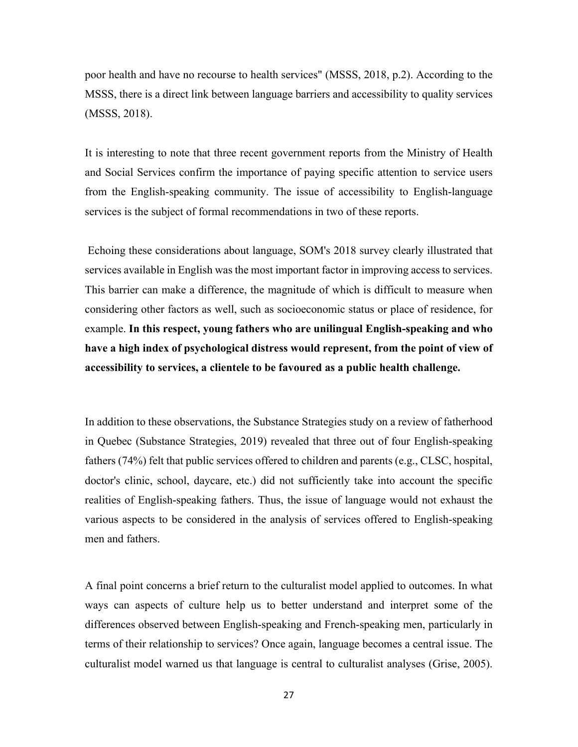poor health and have no recourse to health services" (MSSS, 2018, p.2). According to the MSSS, there is a direct link between language barriers and accessibility to quality services (MSSS, 2018).

It is interesting to note that three recent government reports from the Ministry of Health and Social Services confirm the importance of paying specific attention to service users from the English-speaking community. The issue of accessibility to English-language services is the subject of formal recommendations in two of these reports.

Echoing these considerations about language, SOM's 2018 survey clearly illustrated that services available in English was the most important factor in improving access to services. This barrier can make a difference, the magnitude of which is difficult to measure when considering other factors as well, such as socioeconomic status or place of residence, for example. **In this respect, young fathers who are unilingual English-speaking and who have a high index of psychological distress would represent, from the point of view of accessibility to services, a clientele to be favoured as a public health challenge.**

In addition to these observations, the Substance Strategies study on a review of fatherhood in Quebec (Substance Strategies, 2019) revealed that three out of four English-speaking fathers (74%) felt that public services offered to children and parents (e.g., CLSC, hospital, doctor's clinic, school, daycare, etc.) did not sufficiently take into account the specific realities of English-speaking fathers. Thus, the issue of language would not exhaust the various aspects to be considered in the analysis of services offered to English-speaking men and fathers.

A final point concerns a brief return to the culturalist model applied to outcomes. In what ways can aspects of culture help us to better understand and interpret some of the differences observed between English-speaking and French-speaking men, particularly in terms of their relationship to services? Once again, language becomes a central issue. The culturalist model warned us that language is central to culturalist analyses (Grise, 2005).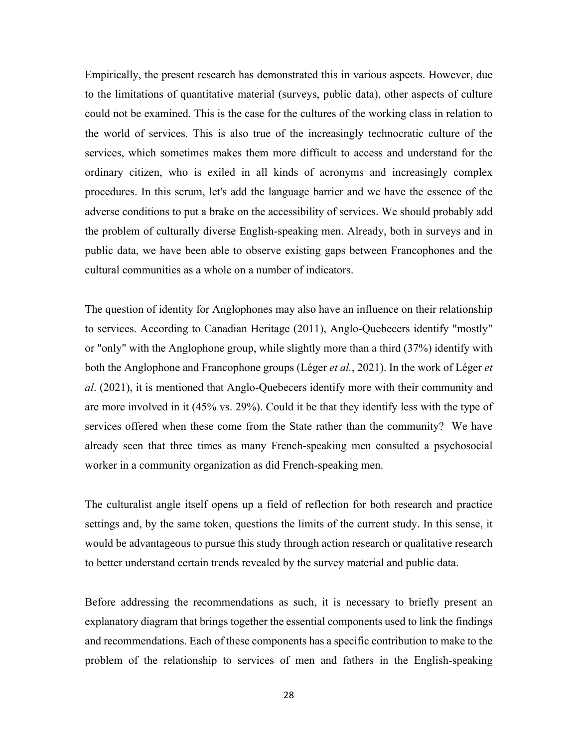Empirically, the present research has demonstrated this in various aspects. However, due to the limitations of quantitative material (surveys, public data), other aspects of culture could not be examined. This is the case for the cultures of the working class in relation to the world of services. This is also true of the increasingly technocratic culture of the services, which sometimes makes them more difficult to access and understand for the ordinary citizen, who is exiled in all kinds of acronyms and increasingly complex procedures. In this scrum, let's add the language barrier and we have the essence of the adverse conditions to put a brake on the accessibility of services. We should probably add the problem of culturally diverse English-speaking men. Already, both in surveys and in public data, we have been able to observe existing gaps between Francophones and the cultural communities as a whole on a number of indicators.

The question of identity for Anglophones may also have an influence on their relationship to services. According to Canadian Heritage (2011), Anglo-Quebecers identify "mostly" or "only" with the Anglophone group, while slightly more than a third (37%) identify with both the Anglophone and Francophone groups (Léger *et al.*, 2021). In the work of Léger *et al*. (2021), it is mentioned that Anglo-Quebecers identify more with their community and are more involved in it (45% vs. 29%). Could it be that they identify less with the type of services offered when these come from the State rather than the community? We have already seen that three times as many French-speaking men consulted a psychosocial worker in a community organization as did French-speaking men.

The culturalist angle itself opens up a field of reflection for both research and practice settings and, by the same token, questions the limits of the current study. In this sense, it would be advantageous to pursue this study through action research or qualitative research to better understand certain trends revealed by the survey material and public data.

Before addressing the recommendations as such, it is necessary to briefly present an explanatory diagram that brings together the essential components used to link the findings and recommendations. Each of these components has a specific contribution to make to the problem of the relationship to services of men and fathers in the English-speaking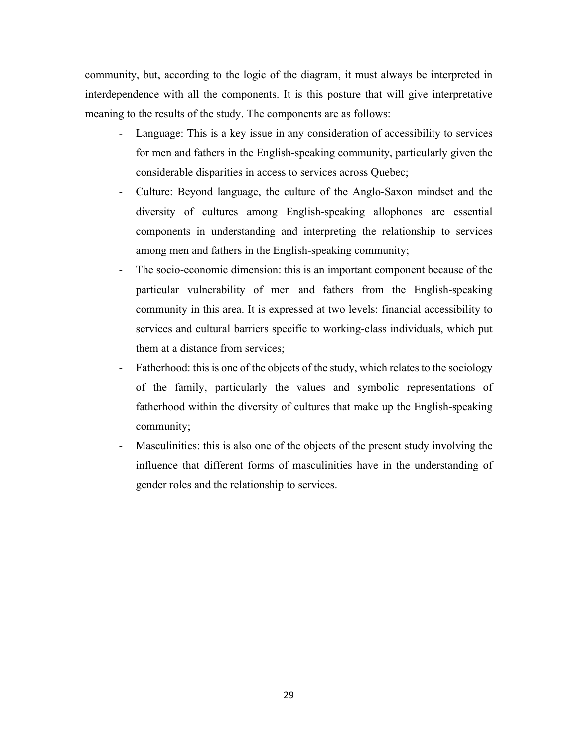community, but, according to the logic of the diagram, it must always be interpreted in interdependence with all the components. It is this posture that will give interpretative meaning to the results of the study. The components are as follows:

- Language: This is a key issue in any consideration of accessibility to services for men and fathers in the English-speaking community, particularly given the considerable disparities in access to services across Quebec;
- Culture: Beyond language, the culture of the Anglo-Saxon mindset and the diversity of cultures among English-speaking allophones are essential components in understanding and interpreting the relationship to services among men and fathers in the English-speaking community;
- The socio-economic dimension: this is an important component because of the particular vulnerability of men and fathers from the English-speaking community in this area. It is expressed at two levels: financial accessibility to services and cultural barriers specific to working-class individuals, which put them at a distance from services;
- Fatherhood: this is one of the objects of the study, which relates to the sociology of the family, particularly the values and symbolic representations of fatherhood within the diversity of cultures that make up the English-speaking community;
- Masculinities: this is also one of the objects of the present study involving the influence that different forms of masculinities have in the understanding of gender roles and the relationship to services.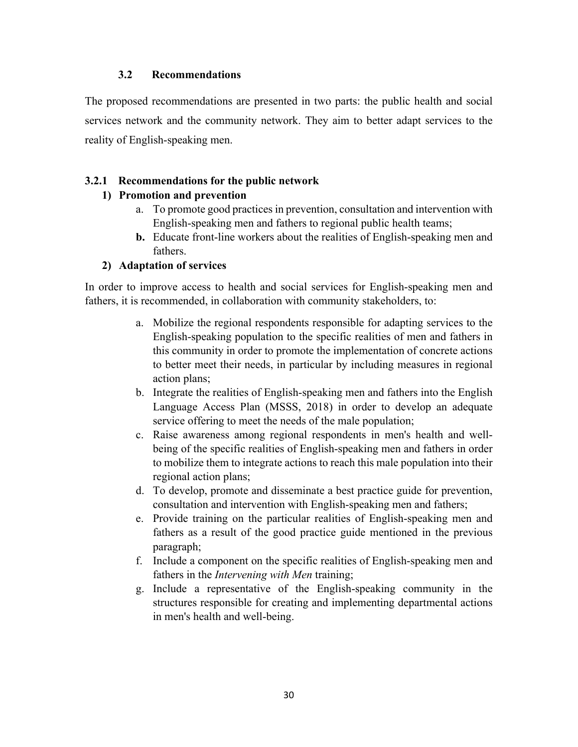#### **3.2 Recommendations**

The proposed recommendations are presented in two parts: the public health and social services network and the community network. They aim to better adapt services to the reality of English-speaking men.

#### **3.2.1 Recommendations for the public network**

#### **1) Promotion and prevention**

- a. To promote good practices in prevention, consultation and intervention with English-speaking men and fathers to regional public health teams;
- **b.** Educate front-line workers about the realities of English-speaking men and fathers.

#### **2) Adaptation of services**

In order to improve access to health and social services for English-speaking men and fathers, it is recommended, in collaboration with community stakeholders, to:

- a. Mobilize the regional respondents responsible for adapting services to the English-speaking population to the specific realities of men and fathers in this community in order to promote the implementation of concrete actions to better meet their needs, in particular by including measures in regional action plans;
- b. Integrate the realities of English-speaking men and fathers into the English Language Access Plan (MSSS, 2018) in order to develop an adequate service offering to meet the needs of the male population;
- c. Raise awareness among regional respondents in men's health and wellbeing of the specific realities of English-speaking men and fathers in order to mobilize them to integrate actions to reach this male population into their regional action plans;
- d. To develop, promote and disseminate a best practice guide for prevention, consultation and intervention with English-speaking men and fathers;
- e. Provide training on the particular realities of English-speaking men and fathers as a result of the good practice guide mentioned in the previous paragraph;
- f. Include a component on the specific realities of English-speaking men and fathers in the *Intervening with Men* training;
- g. Include a representative of the English-speaking community in the structures responsible for creating and implementing departmental actions in men's health and well-being.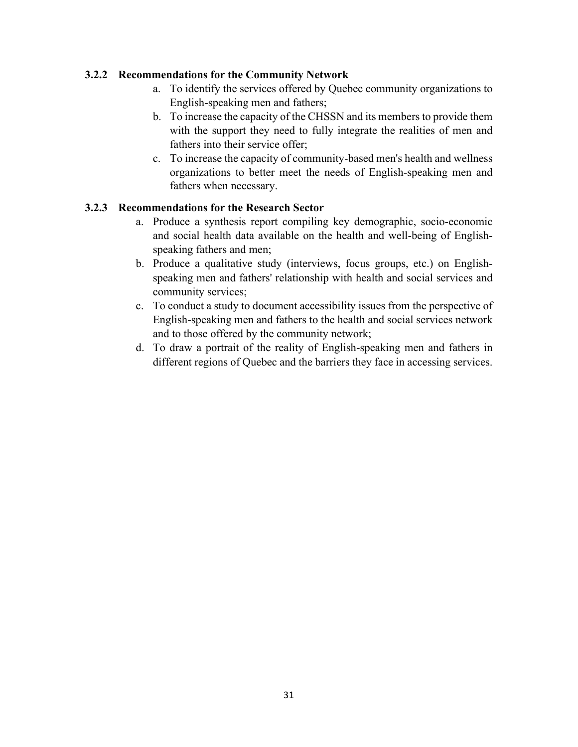#### **3.2.2 Recommendations for the Community Network**

- a. To identify the services offered by Quebec community organizations to English-speaking men and fathers;
- b. To increase the capacity of the CHSSN and its members to provide them with the support they need to fully integrate the realities of men and fathers into their service offer;
- c. To increase the capacity of community-based men's health and wellness organizations to better meet the needs of English-speaking men and fathers when necessary.

#### **3.2.3 Recommendations for the Research Sector**

- a. Produce a synthesis report compiling key demographic, socio-economic and social health data available on the health and well-being of Englishspeaking fathers and men;
- b. Produce a qualitative study (interviews, focus groups, etc.) on Englishspeaking men and fathers' relationship with health and social services and community services;
- c. To conduct a study to document accessibility issues from the perspective of English-speaking men and fathers to the health and social services network and to those offered by the community network;
- d. To draw a portrait of the reality of English-speaking men and fathers in different regions of Quebec and the barriers they face in accessing services.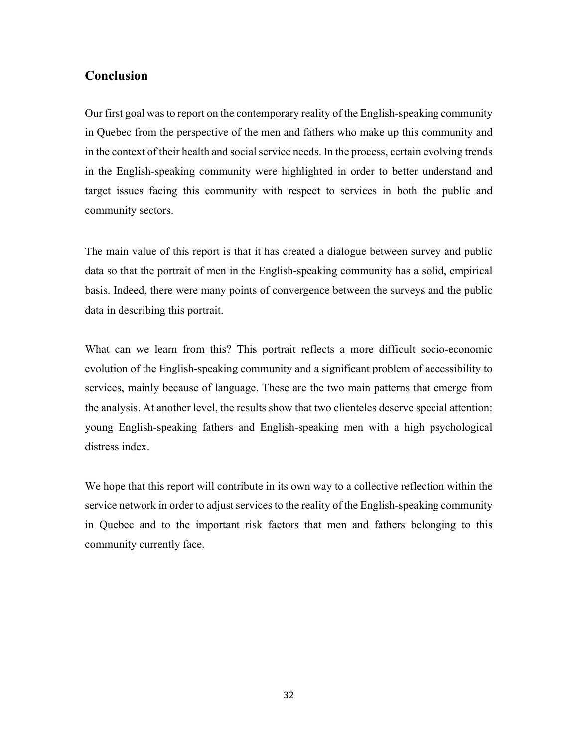### **Conclusion**

Our first goal was to report on the contemporary reality of the English-speaking community in Quebec from the perspective of the men and fathers who make up this community and in the context of their health and social service needs. In the process, certain evolving trends in the English-speaking community were highlighted in order to better understand and target issues facing this community with respect to services in both the public and community sectors.

The main value of this report is that it has created a dialogue between survey and public data so that the portrait of men in the English-speaking community has a solid, empirical basis. Indeed, there were many points of convergence between the surveys and the public data in describing this portrait.

What can we learn from this? This portrait reflects a more difficult socio-economic evolution of the English-speaking community and a significant problem of accessibility to services, mainly because of language. These are the two main patterns that emerge from the analysis. At another level, the results show that two clienteles deserve special attention: young English-speaking fathers and English-speaking men with a high psychological distress index.

We hope that this report will contribute in its own way to a collective reflection within the service network in order to adjust services to the reality of the English-speaking community in Quebec and to the important risk factors that men and fathers belonging to this community currently face.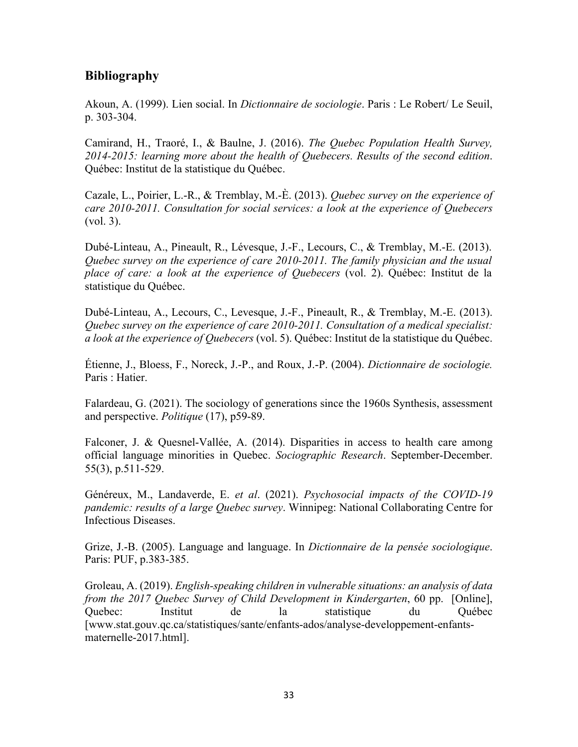## **Bibliography**

Akoun, A. (1999). Lien social. In *Dictionnaire de sociologie*. Paris : Le Robert/ Le Seuil, p. 303-304.

Camirand, H., Traoré, I., & Baulne, J. (2016). *The Quebec Population Health Survey, 2014-2015: learning more about the health of Quebecers. Results of the second edition*. Québec: Institut de la statistique du Québec.

Cazale, L., Poirier, L.-R., & Tremblay, M.-È. (2013). *Quebec survey on the experience of care 2010-2011. Consultation for social services: a look at the experience of Quebecers*  (vol. 3).

Dubé-Linteau, A., Pineault, R., Lévesque, J.-F., Lecours, C., & Tremblay, M.-E. (2013). *Quebec survey on the experience of care 2010-2011. The family physician and the usual place of care: a look at the experience of Quebecers* (vol. 2). Québec: Institut de la statistique du Québec.

Dubé-Linteau, A., Lecours, C., Levesque, J.-F., Pineault, R., & Tremblay, M.-E. (2013). *Quebec survey on the experience of care 2010-2011. Consultation of a medical specialist: a look at the experience of Quebecers* (vol. 5). Québec: Institut de la statistique du Québec.

Étienne, J., Bloess, F., Noreck, J.-P., and Roux, J.-P. (2004). *Dictionnaire de sociologie.* Paris : Hatier.

Falardeau, G. (2021). The sociology of generations since the 1960s Synthesis, assessment and perspective. *Politique* (17), p59-89.

Falconer, J. & Quesnel-Vallée, A. (2014). Disparities in access to health care among official language minorities in Quebec. *Sociographic Research*. September-December. 55(3), p.511-529.

Généreux, M., Landaverde, E. *et al*. (2021). *Psychosocial impacts of the COVID-19 pandemic: results of a large Quebec survey*. Winnipeg: National Collaborating Centre for Infectious Diseases.

Grize, J.-B. (2005). Language and language. In *Dictionnaire de la pensée sociologique*. Paris: PUF, p.383-385.

Groleau, A. (2019). *English-speaking children in vulnerable situations: an analysis of data from the 2017 Quebec Survey of Child Development in Kindergarten*, 60 pp. [Online], Quebec: Institut de la statistique du Québec [www.stat.gouv.qc.ca/statistiques/sante/enfants-ados/analyse-developpement-enfantsmaternelle-2017.html].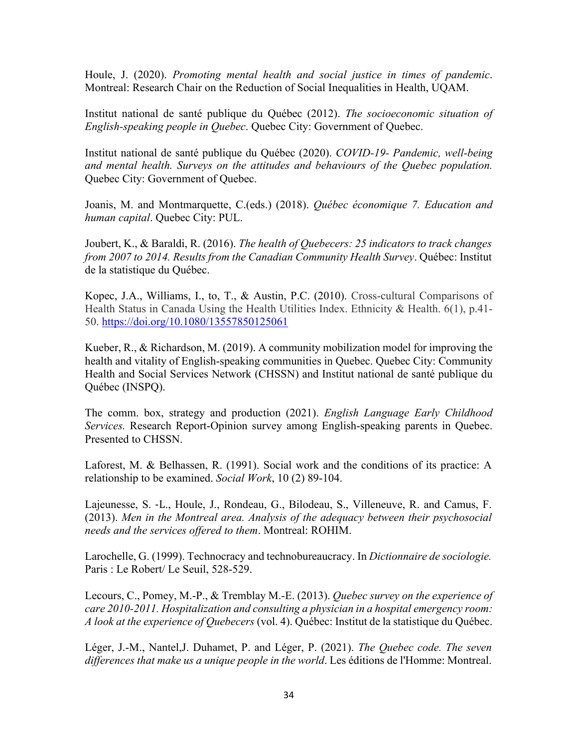Houle, J. (2020). *Promoting mental health and social justice in times of pandemic*. Montreal: Research Chair on the Reduction of Social Inequalities in Health, UQAM.

Institut national de santé publique du Québec (2012). *The socioeconomic situation of English-speaking people in Quebec*. Quebec City: Government of Quebec.

Institut national de santé publique du Québec (2020). *COVID-19- Pandemic, well-being and mental health. Surveys on the attitudes and behaviours of the Quebec population.* Quebec City: Government of Quebec.

Joanis, M. and Montmarquette, C.(eds.) (2018). *Québec économique 7. Education and human capital*. Quebec City: PUL.

Joubert, K., & Baraldi, R. (2016). *The health of Quebecers: 25 indicators to track changes from 2007 to 2014. Results from the Canadian Community Health Survey*. Québec: Institut de la statistique du Québec.

Kopec, J.A., Williams, I., to, T., & Austin, P.C. (2010). Cross-cultural Comparisons of Health Status in Canada Using the Health Utilities Index. Ethnicity & Health. 6(1), p.41- 50. https://doi.org/10.1080/13557850125061

Kueber, R., & Richardson, M. (2019). A community mobilization model for improving the health and vitality of English-speaking communities in Quebec. Quebec City: Community Health and Social Services Network (CHSSN) and Institut national de santé publique du Québec (INSPQ).

The comm. box, strategy and production (2021). *English Language Early Childhood Services.* Research Report-Opinion survey among English-speaking parents in Quebec. Presented to CHSSN.

Laforest, M. & Belhassen, R. (1991). Social work and the conditions of its practice: A relationship to be examined. *Social Work*, 10 (2) 89-104.

Lajeunesse, S. -L., Houle, J., Rondeau, G., Bilodeau, S., Villeneuve, R. and Camus, F. (2013). *Men in the Montreal area. Analysis of the adequacy between their psychosocial needs and the services offered to them*. Montreal: ROHIM.

Larochelle, G. (1999). Technocracy and technobureaucracy. In *Dictionnaire de sociologie.*  Paris : Le Robert/ Le Seuil, 528-529.

Lecours, C., Pomey, M.-P., & Tremblay M.-E. (2013). *Quebec survey on the experience of care 2010-2011. Hospitalization and consulting a physician in a hospital emergency room: A look at the experience of Quebecers* (vol. 4). Québec: Institut de la statistique du Québec.

Léger, J.-M., Nantel,J. Duhamet, P. and Léger, P. (2021). *The Quebec code. The seven differences that make us a unique people in the world*. Les éditions de l'Homme: Montreal.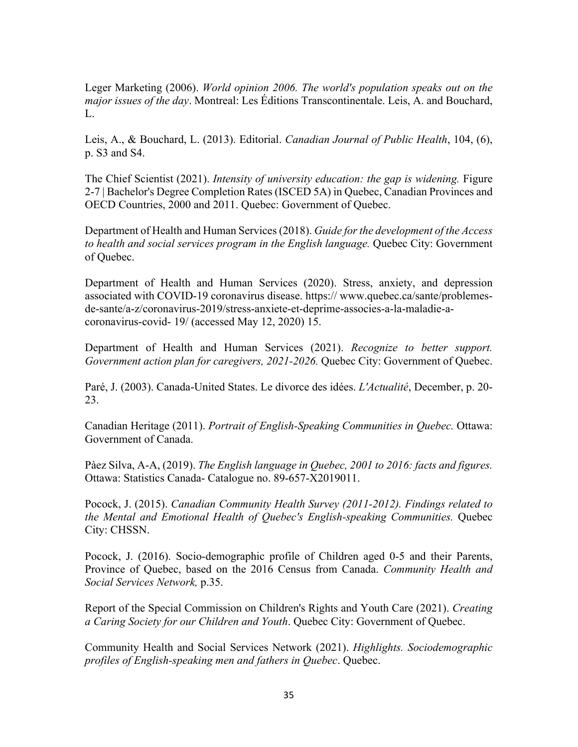Leger Marketing (2006). *World opinion 2006. The world's population speaks out on the major issues of the day*. Montreal: Les Éditions Transcontinentale. Leis, A. and Bouchard, L.

Leis, A., & Bouchard, L. (2013). Editorial. *Canadian Journal of Public Health*, 104, (6), p. S3 and S4.

The Chief Scientist (2021). *Intensity of university education: the gap is widening.* Figure 2-7 | Bachelor's Degree Completion Rates (ISCED 5A) in Quebec, Canadian Provinces and OECD Countries, 2000 and 2011. Quebec: Government of Quebec.

Department of Health and Human Services (2018). *Guide for the development of the Access to health and social services program in the English language.* Quebec City: Government of Quebec.

Department of Health and Human Services (2020). Stress, anxiety, and depression associated with COVID-19 coronavirus disease. https:// www.quebec.ca/sante/problemesde-sante/a-z/coronavirus-2019/stress-anxiete-et-deprime-associes-a-la-maladie-acoronavirus-covid- 19/ (accessed May 12, 2020) 15.

Department of Health and Human Services (2021). *Recognize to better support. Government action plan for caregivers, 2021-2026.* Quebec City: Government of Quebec.

Paré, J. (2003). Canada-United States. Le divorce des idées. *L'Actualité*, December, p. 20- 23.

Canadian Heritage (2011). *Portrait of English-Speaking Communities in Quebec.* Ottawa: Government of Canada.

Pàez Silva, A-A, (2019). *The English language in Quebec, 2001 to 2016: facts and figures.*  Ottawa: Statistics Canada- Catalogue no. 89-657-X2019011.

Pocock, J. (2015). *Canadian Community Health Survey (2011-2012). Findings related to the Mental and Emotional Health of Quebec's English-speaking Communities.* Quebec City: CHSSN.

Pocock, J. (2016). Socio-demographic profile of Children aged 0-5 and their Parents, Province of Quebec, based on the 2016 Census from Canada. *Community Health and Social Services Network,* p.35.

Report of the Special Commission on Children's Rights and Youth Care (2021). *Creating a Caring Society for our Children and Youth*. Quebec City: Government of Quebec.

Community Health and Social Services Network (2021). *Highlights. Sociodemographic profiles of English-speaking men and fathers in Quebec*. Quebec.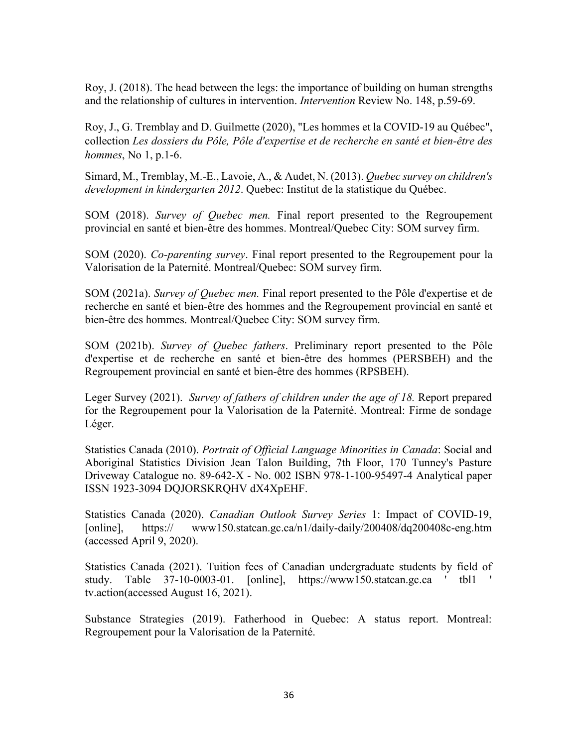Roy, J. (2018). The head between the legs: the importance of building on human strengths and the relationship of cultures in intervention. *Intervention* Review No. 148, p.59-69.

Roy, J., G. Tremblay and D. Guilmette (2020), "Les hommes et la COVID-19 au Québec", collection *Les dossiers du Pôle, Pôle d'expertise et de recherche en santé et bien-être des hommes*, No 1, p.1-6.

Simard, M., Tremblay, M.-E., Lavoie, A., & Audet, N. (2013). *Quebec survey on children's development in kindergarten 2012*. Quebec: Institut de la statistique du Québec.

SOM (2018). *Survey of Quebec men.* Final report presented to the Regroupement provincial en santé et bien-être des hommes. Montreal/Quebec City: SOM survey firm.

SOM (2020). *Co-parenting survey*. Final report presented to the Regroupement pour la Valorisation de la Paternité. Montreal/Quebec: SOM survey firm.

SOM (2021a). *Survey of Quebec men.* Final report presented to the Pôle d'expertise et de recherche en santé et bien-être des hommes and the Regroupement provincial en santé et bien-être des hommes. Montreal/Quebec City: SOM survey firm.

SOM (2021b). *Survey of Quebec fathers*. Preliminary report presented to the Pôle d'expertise et de recherche en santé et bien-être des hommes (PERSBEH) and the Regroupement provincial en santé et bien-être des hommes (RPSBEH).

Leger Survey (2021). *Survey of fathers of children under the age of 18*. Report prepared for the Regroupement pour la Valorisation de la Paternité. Montreal: Firme de sondage Léger.

Statistics Canada (2010). *Portrait of Official Language Minorities in Canada*: Social and Aboriginal Statistics Division Jean Talon Building, 7th Floor, 170 Tunney's Pasture Driveway Catalogue no. 89-642-X - No. 002 ISBN 978-1-100-95497-4 Analytical paper ISSN 1923-3094 DQJORSKRQHV dX4XpEHF.

Statistics Canada (2020). *Canadian Outlook Survey Series* 1: Impact of COVID-19, [online], https:// www150.statcan.gc.ca/n1/daily-daily/200408/dq200408c-eng.htm (accessed April 9, 2020).

Statistics Canada (2021). Tuition fees of Canadian undergraduate students by field of study. Table 37-10-0003-01. [online], https://www150.statcan.gc.ca ' tbl1 ' tv.action(accessed August 16, 2021).

Substance Strategies (2019). Fatherhood in Quebec: A status report. Montreal: Regroupement pour la Valorisation de la Paternité.